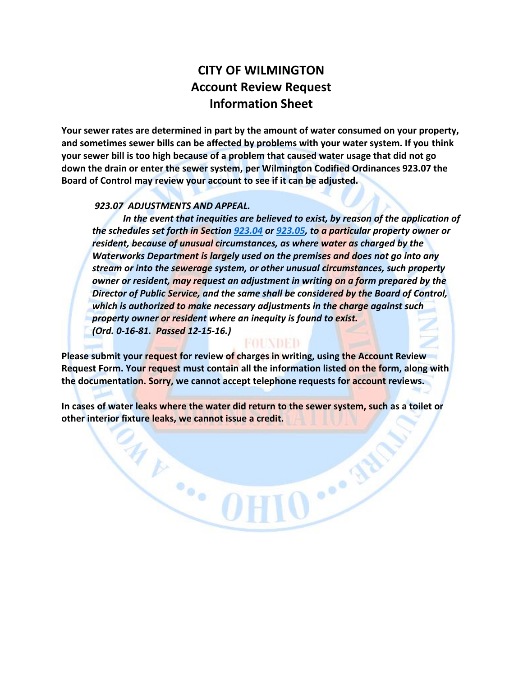# **CITY OF WILMINGTON Account Review Request Information Sheet**

**Your sewer rates are determined in part by the amount of water consumed on your property, and sometimes sewer bills can be affected by problems with your water system. If you think your sewer bill is too high because of a problem that caused water usage that did not go down the drain or enter the sewer system, per Wilmington Codified Ordinances 923.07 the Board of Control may review your account to see if it can be adjusted.** 

#### *923.07 ADJUSTMENTS AND APPEAL.*

In the event that inequities are believed to exist, by reason of the application of *the schedules set forth in Section [923.04](http://whdrane.conwaygreene.com/NXT/gateway.dll?f=jumplink$jumplink_x=Advanced$jumplink_vpc=first$jumplink_xsl=querylink.xsl$jumplink_sel=title;path;content-type;home-title;item-bookmark$jumplink_d=%7bwilming%7d$jumplink_q=%5bfield%20folio-destination-name:%27923.04%27%5d$jumplink_md=target-id=0-0-0-2053) or [923.05,](http://whdrane.conwaygreene.com/NXT/gateway.dll?f=jumplink$jumplink_x=Advanced$jumplink_vpc=first$jumplink_xsl=querylink.xsl$jumplink_sel=title;path;content-type;home-title;item-bookmark$jumplink_d=%7bwilming%7d$jumplink_q=%5bfield%20folio-destination-name:%27923.05%27%5d$jumplink_md=target-id=0-0-0-2157) to a particular property owner or resident, because of unusual circumstances, as where water as charged by the Waterworks Department is largely used on the premises and does not go into any stream or into the sewerage system, or other unusual circumstances, such property owner or resident, may request an adjustment in writing on a form prepared by the Director of Public Service, and the same shall be considered by the Board of Control, which is authorized to make necessary adjustments in the charge against such property owner or resident where an inequity is found to exist. (Ord. 0-16-81. Passed 12-15-16.)*

FOUNDED

IO ... Jul

**Please submit your request for review of charges in writing, using the Account Review Request Form. Your request must contain all the information listed on the form, along with the documentation. Sorry, we cannot accept telephone requests for account reviews.** 

**In cases of water leaks where the water did return to the sewer system, such as a toilet or other interior fixture leaks, we cannot issue a credit.** 

WE OH